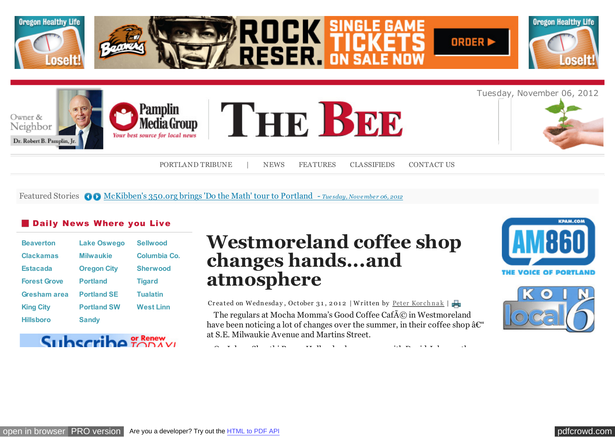

Featured Stories **OD** [McKibben's 350.org brings 'Do the Math' tour to Portland -](http://portlandtribune.com/pt/9-news/122576-mckibbens-350org-brings-do-the-math-tour-to-portland) *Tuesday, November 06, 2012* 

## **Daily News Where you Live**

| <b>Beaverton</b>    | <b>Lake Oswego</b> | <b>Sellwood</b>  |
|---------------------|--------------------|------------------|
| <b>Clackamas</b>    | <b>Milwaukie</b>   | Columbia Co.     |
| <b>Estacada</b>     | <b>Oregon City</b> | <b>Sherwood</b>  |
| <b>Forest Grove</b> | <b>Portland</b>    | <b>Tigard</b>    |
| <b>Gresham area</b> | <b>Portland SE</b> | <b>Tualatin</b>  |
| <b>King City</b>    | <b>Portland SW</b> | <b>West Linn</b> |
| <b>Hillsboro</b>    | <b>Sandy</b>       |                  |

# Subscrib

# **Westmoreland coffee shop changes hands...and atmosphere**

Createdon Wednesday, October 31, 2012 | Written by Peter Korchnak |

The regulars at Mocha Momma's Good Coffee Caf $\tilde{A}$ © in Westmoreland have been noticing a lot of changes over the summer, in their coffee shop  $\hat{a} \mathcal{C}^*$ at S.E. Milwaukie Avenue and Martins Street.

On July 1, Shanthi Renee Holland, who co-owns with David Johnson the



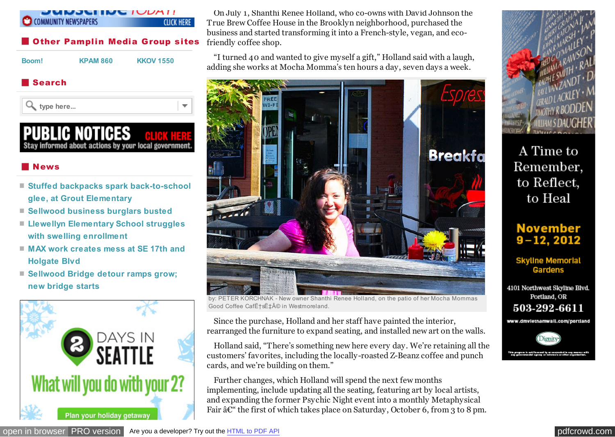#### *INJULINU IUDATI* **COMMUNITY NEWSPAPERS CLICK HERE**

# **Other Pamplin Media Group sites**

**[Boom!](http://portlandtribune.com/boom-news/) [KPAM 860](http://kpam.com/) [KKOV 1550](http://www.1550talk.com/)**

## Search

**type here...**

# **PUBLIC NOTICES** Stay informed about actions by your local government

# News

- **[Stuffed backpacks spark back-to-school](http://portlandtribune.com/sb/74-news/116050-stuffed-backpacks-spark-back-to-school-glee-at-grout-elementary-) glee, at Grout Elementary**
- **[Sellwood business burglars busted](http://portlandtribune.com/sb/74-news/122305-sellwood-business-burglars-busted)**
- **[Llewellyn Elementary School struggles](http://portlandtribune.com/sb/74-news/122306-llewellyn-elementary-school-struggles-with-swelling-enrollment-) with swelling enrollment**
- **[MAX work creates mess at SE 17th and](http://portlandtribune.com/sb/74-news/122312-max-work-creates-mess-at-se-17th-and-holgate-blvd) Holgate Blvd**
- **[Sellwood Bridge detour ramps grow;](http://portlandtribune.com/sb/74-news/122307-sellwood-bridge-detour-ramps-grow;-new-bridge-starts-) new bridge starts**



On July 1, Shanthi Renee Holland, who co-owns with David Johnson the True Brew Coffee House in the Brooklyn neighborhood, purchased the business and started transforming it into a French-style, vegan, and ecofriendly coffee shop.

"I turned 40 and wanted to give myself a gift," Holland said with a laugh, adding she works at Mocha Momma's ten hours a day, seven days a week.



by: PETER KORCHNAK - New owner Shanthi Renee Holland, on the patio of her Mocha Mommas Good Coffee Cafˆs˱© in Westmoreland

Since the purchase, Holland and her staff have painted the interior, rearranged the furniture to expand seating, and installed new art on the walls.

Holland said, "There's something new here every day. We're retaining all the customers' favorites, including the locally-roasted Z-Beanz coffee and punch cards, and we're building on them."

Further changes, which Holland will spend the next few months implementing, include updating all the seating, featuring art by local artists, and expanding the former Psychic Night event into a monthly Metaphysical Fair  $\hat{a}\mathcal{C}^*$  the first of which takes place on Saturday, October 6, from 3 to 8 pm.



A Time to Remember, to Reflect, to Heal

# **November**  $9 - 12, 2012$

**Skyline Memorial** Gardens

4101 Northwest Skyline Blvd. Portland, OR 503-292-6611

www.dmvletnamwall.com/portland